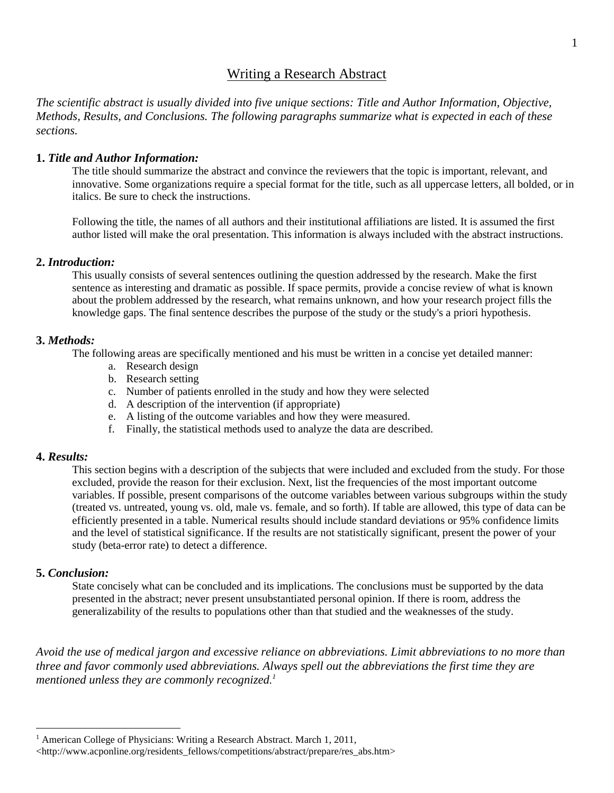## Writing a Research Abstract

*The scientific abstract is usually divided into five unique sections: Title and Author Information, Objective, Methods, Results, and Conclusions. The following paragraphs summarize what is expected in each of these sections.*

#### **1.** *Title and Author Information:*

The title should summarize the abstract and convince the reviewers that the topic is important, relevant, and innovative. Some organizations require a special format for the title, such as all uppercase letters, all bolded, or in italics. Be sure to check the instructions.

Following the title, the names of all authors and their institutional affiliations are listed. It is assumed the first author listed will make the oral presentation. This information is always included with the abstract instructions.

#### **2.** *Introduction:*

This usually consists of several sentences outlining the question addressed by the research. Make the first sentence as interesting and dramatic as possible. If space permits, provide a concise review of what is known about the problem addressed by the research, what remains unknown, and how your research project fills the knowledge gaps. The final sentence describes the purpose of the study or the study's a priori hypothesis.

### **3.** *Methods:*

The following areas are specifically mentioned and his must be written in a concise yet detailed manner:

- a. Research design
- b. Research setting
- c. Number of patients enrolled in the study and how they were selected
- d. A description of the intervention (if appropriate)
- e. A listing of the outcome variables and how they were measured.
- f. Finally, the statistical methods used to analyze the data are described.

#### **4.** *Results:*

This section begins with a description of the subjects that were included and excluded from the study. For those excluded, provide the reason for their exclusion. Next, list the frequencies of the most important outcome variables. If possible, present comparisons of the outcome variables between various subgroups within the study (treated vs. untreated, young vs. old, male vs. female, and so forth). If table are allowed, this type of data can be efficiently presented in a table. Numerical results should include standard deviations or 95% confidence limits and the level of statistical significance. If the results are not statistically significant, present the power of your study (beta-error rate) to detect a difference.

### **5.** *Conclusion:*

 $\overline{a}$ 

State concisely what can be concluded and its implications. The conclusions must be supported by the data presented in the abstract; never present unsubstantiated personal opinion. If there is room, address the generalizability of the results to populations other than that studied and the weaknesses of the study.

*Avoid the use of medical jargon and excessive reliance on abbreviations. Limit abbreviations to no more than three and favor commonly used abbreviations. Always spell out the abbreviations the first time they are mentioned unless they are commonly recognized. 1*

<sup>&</sup>lt;sup>1</sup> American College of Physicians: Writing a Research Abstract. March 1, 2011,

 $\langle$ http://www.acponline.org/residents fellows/competitions/abstract/prepare/res\_abs.htm>